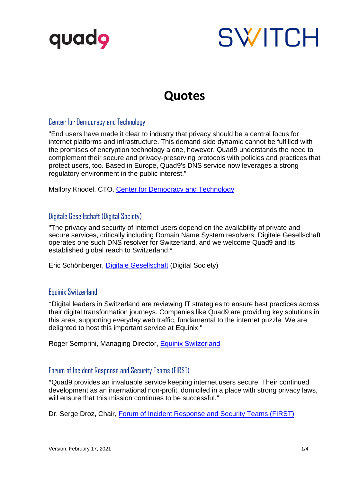

# **SWITCH**

# **Quotes**

# Center for Democracy and Technology

"End users have made it clear to industry that privacy should be a central focus for internet platforms and infrastructure. This demand-side dynamic cannot be fulfilled with the promises of encryption technology alone, however. Quad9 understands the need to complement their secure and privacy-preserving protocols with policies and practices that protect users, too. Based in Europe, Quad9's DNS service now leverages a strong regulatory environment in the public interest."

Mallory Knodel, CTO, [Center for Democracy and Technology](https://cdt.org/)

# Digitale Gesellschaft (Digital Society)

"The privacy and security of Internet users depend on the availability of private and secure services, critically including Domain Name System resolvers. Digitale Gesellschaft operates one such DNS resolver for Switzerland, and we welcome Quad9 and its established global reach to Switzerland."

Eric Schönberger, [Digitale Gesellschaft](https://www.digitale-gesellschaft.ch/) (Digital Society)

#### Equinix Switzerland

"Digital leaders in Switzerland are reviewing IT strategies to ensure best practices across their digital transformation journeys. Companies like Quad9 are providing key solutions in this area, supporting everyday web traffic, fundamental to the internet puzzle. We are delighted to host this important service at Equinix."

Roger Semprini, Managing Director, [Equinix Switzerland](https://en.equinix.ch/)

# Forum of Incident Response and Security Teams (FIRST)

"Quad9 provides an invaluable service keeping internet users secure. Their continued development as an international non-profit, domiciled in a place with strong privacy laws, will ensure that this mission continues to be successful."

Dr. Serge Droz, Chair, [Forum of Incident Response and](https://www.first.org/) Security Teams (FIRST)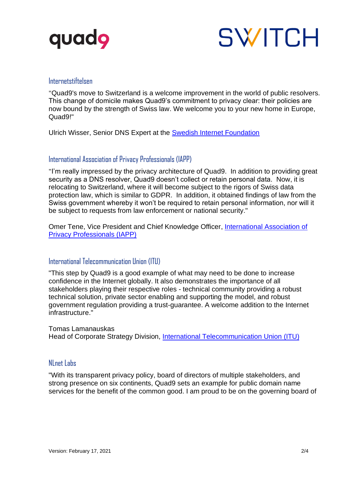



#### Internetstiftelsen

"Quad9's move to Switzerland is a welcome improvement in the world of public resolvers. This change of domicile makes Quad9's commitment to privacy clear: their policies are now bound by the strength of Swiss law. We welcome you to your new home in Europe, Quad9!"

Ulrich Wisser, Senior DNS Expert at the [Swedish Internet Foundation](https://internetstiftelsen.se/en/)

#### International Association of Privacy Professionals (IAPP)

"I'm really impressed by the privacy architecture of Quad9. In addition to providing great security as a DNS resolver, Quad9 doesn't collect or retain personal data. Now, it is relocating to Switzerland, where it will become subject to the rigors of Swiss data protection law, which is similar to GDPR. In addition, it obtained findings of law from the Swiss government whereby it won't be required to retain personal information, nor will it be subject to requests from law enforcement or national security."

Omer Tene, Vice President and Chief Knowledge Officer, *International Association of* [Privacy Professionals \(IAPP\)](https://iapp.org/)

# International Telecommunication Union (ITU)

"This step by Quad9 is a good example of what may need to be done to increase confidence in the Internet globally. It also demonstrates the importance of all stakeholders playing their respective roles - technical community providing a robust technical solution, private sector enabling and supporting the model, and robust government regulation providing a trust-guarantee. A welcome addition to the Internet infrastructure."

Tomas Lamanauskas

Head of Corporate Strategy Division, [International Telecommunication Union \(ITU\)](https://www.itu.int/en/Pages/default.aspx)

#### NLnet Labs

"With its transparent privacy policy, board of directors of multiple stakeholders, and strong presence on six continents, Quad9 sets an example for public domain name services for the benefit of the common good. I am proud to be on the governing board of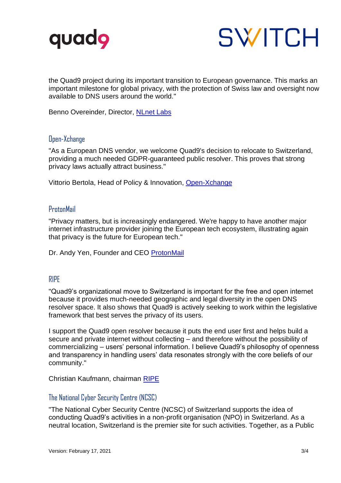



the Quad9 project during its important transition to European governance. This marks an important milestone for global privacy, with the protection of Swiss law and oversight now available to DNS users around the world."

Benno Overeinder, Director, [NLnet Labs](https://www.nlnetlabs.nl/)

# Open-Xchange

"As a European DNS vendor, we welcome Quad9's decision to relocate to Switzerland, providing a much needed GDPR-guaranteed public resolver. This proves that strong privacy laws actually attract business."

Vittorio Bertola, Head of Policy & Innovation, [Open-Xchange](https://www.open-xchange.com/)

#### **ProtonMail**

"Privacy matters, but is increasingly endangered. We're happy to have another major internet infrastructure provider joining the European tech ecosystem, illustrating again that privacy is the future for European tech."

Dr. Andy Yen, Founder and CEO [ProtonMail](https://protonmail.com/en/)

# RIPE

"Quad9's organizational move to Switzerland is important for the free and open internet because it provides much-needed geographic and legal diversity in the open DNS resolver space. It also shows that Quad9 is actively seeking to work within the legislative framework that best serves the privacy of its users.

I support the Quad9 open resolver because it puts the end user first and helps build a secure and private internet without collecting – and therefore without the possibility of commercializing – users' personal information. I believe Quad9's philosophy of openness and transparency in handling users' data resonates strongly with the core beliefs of our community."

Christian Kaufmann, chairman [RIPE](https://www.ripe.net/)

# The National Cyber Security Centre (NCSC)

"The National Cyber Security Centre (NCSC) of Switzerland supports the idea of conducting Quad9's activities in a non-profit organisation (NPO) in Switzerland. As a neutral location, Switzerland is the premier site for such activities. Together, as a Public